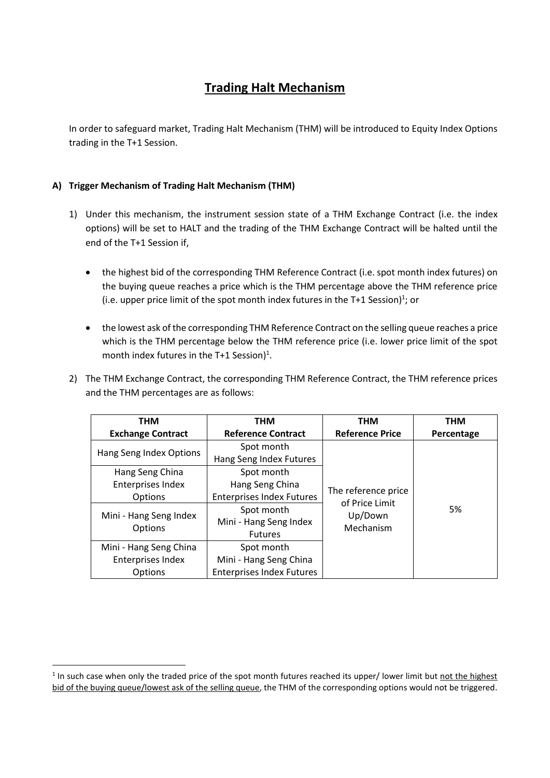# **Trading Halt Mechanism**

In order to safeguard market, Trading Halt Mechanism (THM) will be introduced to Equity Index Options trading in the T+1 Session.

## **A) Trigger Mechanism of Trading Halt Mechanism (THM)**

**.** 

- 1) Under this mechanism, the instrument session state of a THM Exchange Contract (i.e. the index options) will be set to HALT and the trading of the THM Exchange Contract will be halted until the end of the T+1 Session if,
	- the highest bid of the corresponding THM Reference Contract (i.e. spot month index futures) on the buying queue reaches a price which is the THM percentage above the THM reference price (i.e. upper price limit of the spot month index futures in the T+1 Session)<sup>1</sup>; or
	- the lowest ask of the corresponding THM Reference Contract on the selling queue reaches a price which is the THM percentage below the THM reference price (i.e. lower price limit of the spot month index futures in the T+1 Session)<sup>1</sup>.
- 2) The THM Exchange Contract, the corresponding THM Reference Contract, the THM reference prices and the THM percentages are as follows:

| <b>THM</b>                               | <b>THM</b>                       | <b>THM</b>                            | <b>THM</b> |
|------------------------------------------|----------------------------------|---------------------------------------|------------|
| <b>Exchange Contract</b>                 | <b>Reference Contract</b>        | <b>Reference Price</b>                | Percentage |
|                                          | Spot month                       |                                       |            |
| Hang Seng Index Options                  | Hang Seng Index Futures          |                                       |            |
| Hang Seng China                          | Spot month                       |                                       |            |
| Enterprises Index                        | Hang Seng China                  |                                       |            |
| <b>Options</b>                           | <b>Enterprises Index Futures</b> | The reference price<br>of Price Limit |            |
| Mini - Hang Seng Index<br><b>Options</b> | Spot month                       | Up/Down                               | 5%         |
|                                          | Mini - Hang Seng Index           | Mechanism                             |            |
|                                          | <b>Futures</b>                   |                                       |            |
| Mini - Hang Seng China                   | Spot month                       |                                       |            |
| Enterprises Index                        | Mini - Hang Seng China           |                                       |            |
| Options                                  | <b>Enterprises Index Futures</b> |                                       |            |

<sup>&</sup>lt;sup>1</sup> In such case when only the traded price of the spot month futures reached its upper/ lower limit but not the highest bid of the buying queue/lowest ask of the selling queue, the THM of the corresponding options would not be triggered.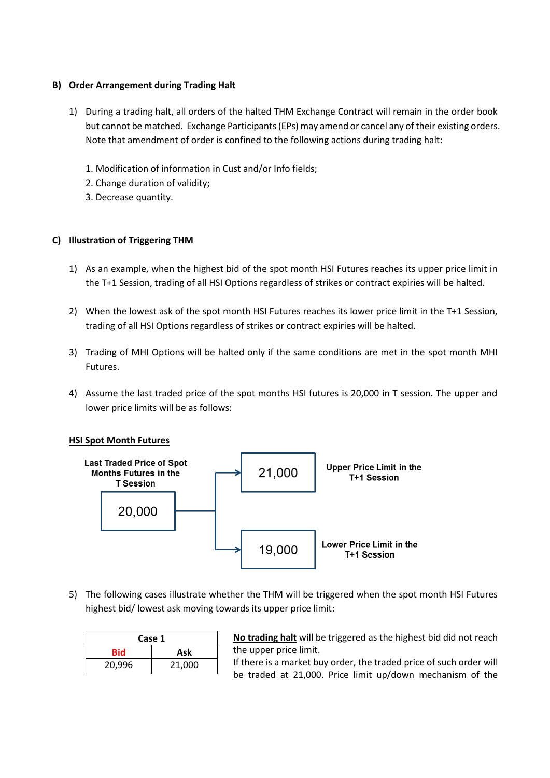#### **B) Order Arrangement during Trading Halt**

- 1) During a trading halt, all orders of the halted THM Exchange Contract will remain in the order book but cannot be matched. Exchange Participants (EPs) may amend or cancel any of their existing orders. Note that amendment of order is confined to the following actions during trading halt:
	- 1. Modification of information in Cust and/or Info fields;
	- 2. Change duration of validity;
	- 3. Decrease quantity.

### **C) Illustration of Triggering THM**

- 1) As an example, when the highest bid of the spot month HSI Futures reaches its upper price limit in the T+1 Session, trading of all HSI Options regardless of strikes or contract expiries will be halted.
- 2) When the lowest ask of the spot month HSI Futures reaches its lower price limit in the T+1 Session, trading of all HSI Options regardless of strikes or contract expiries will be halted.
- 3) Trading of MHI Options will be halted only if the same conditions are met in the spot month MHI Futures.
- 4) Assume the last traded price of the spot months HSI futures is 20,000 in T session. The upper and lower price limits will be as follows:

#### **HSI Spot Month Futures**



5) The following cases illustrate whether the THM will be triggered when the spot month HSI Futures highest bid/ lowest ask moving towards its upper price limit:

| Case 1 |        |  |
|--------|--------|--|
| Bid    | Ask    |  |
| 20,996 | 21,000 |  |

No trading halt will be triggered as the highest bid did not reach the upper price limit.

If there is a market buy order, the traded price of such order will be traded at 21,000. Price limit up/down mechanism of the